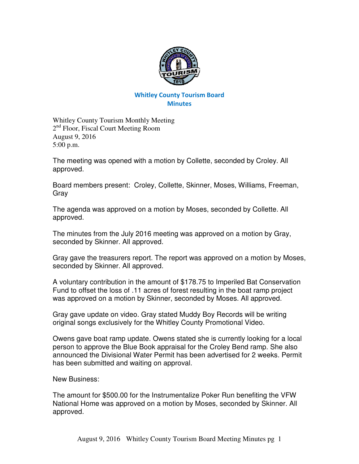

## Whitley County Tourism Board **Minutes**

Whitley County Tourism Monthly Meeting 2<sup>nd</sup> Floor, Fiscal Court Meeting Room August 9, 2016 5:00 p.m.

The meeting was opened with a motion by Collette, seconded by Croley. All approved.

Board members present: Croley, Collette, Skinner, Moses, Williams, Freeman, Gray

The agenda was approved on a motion by Moses, seconded by Collette. All approved.

The minutes from the July 2016 meeting was approved on a motion by Gray, seconded by Skinner. All approved.

Gray gave the treasurers report. The report was approved on a motion by Moses, seconded by Skinner. All approved.

A voluntary contribution in the amount of \$178.75 to Imperiled Bat Conservation Fund to offset the loss of .11 acres of forest resulting in the boat ramp project was approved on a motion by Skinner, seconded by Moses. All approved.

Gray gave update on video. Gray stated Muddy Boy Records will be writing original songs exclusively for the Whitley County Promotional Video.

Owens gave boat ramp update. Owens stated she is currently looking for a local person to approve the Blue Book appraisal for the Croley Bend ramp. She also announced the Divisional Water Permit has been advertised for 2 weeks. Permit has been submitted and waiting on approval.

New Business:

The amount for \$500.00 for the Instrumentalize Poker Run benefiting the VFW National Home was approved on a motion by Moses, seconded by Skinner. All approved.